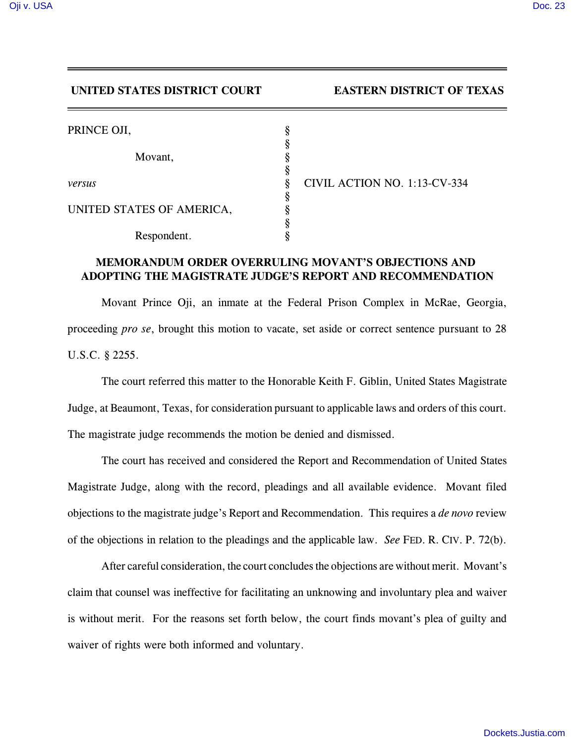## **UNITED STATES DISTRICT COURT EASTERN DISTRICT OF TEXAS**

| PRINCE OJI,               |                              |
|---------------------------|------------------------------|
| Movant,                   |                              |
|                           |                              |
| versus                    | CIVIL ACTION NO. 1:13-CV-334 |
|                           |                              |
| UNITED STATES OF AMERICA, |                              |
|                           |                              |
| Respondent.               |                              |

## **MEMORANDUM ORDER OVERRULING MOVANT'S OBJECTIONS AND ADOPTING THE MAGISTRATE JUDGE'S REPORT AND RECOMMENDATION**

Movant Prince Oji, an inmate at the Federal Prison Complex in McRae, Georgia, proceeding *pro se*, brought this motion to vacate, set aside or correct sentence pursuant to 28 U.S.C. § 2255.

The court referred this matter to the Honorable Keith F. Giblin, United States Magistrate Judge, at Beaumont, Texas, for consideration pursuant to applicable laws and orders of this court. The magistrate judge recommends the motion be denied and dismissed.

The court has received and considered the Report and Recommendation of United States Magistrate Judge, along with the record, pleadings and all available evidence. Movant filed objections to the magistrate judge's Report and Recommendation. This requires a *de novo* review of the objections in relation to the pleadings and the applicable law. *See* FED. R. CIV. P. 72(b).

After careful consideration, the court concludes the objections are without merit. Movant's claim that counsel was ineffective for facilitating an unknowing and involuntary plea and waiver is without merit. For the reasons set forth below, the court finds movant's plea of guilty and waiver of rights were both informed and voluntary.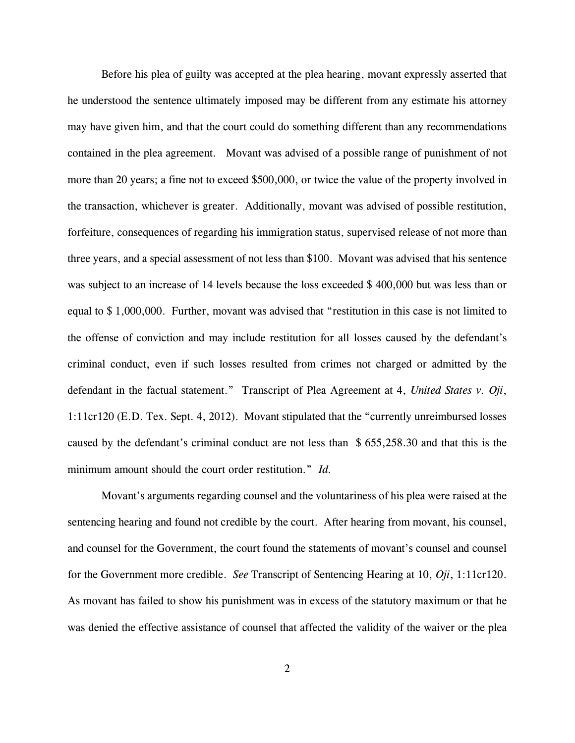Before his plea of guilty was accepted at the plea hearing, movant expressly asserted that he understood the sentence ultimately imposed may be different from any estimate his attorney may have given him, and that the court could do something different than any recommendations contained in the plea agreement. Movant was advised of a possible range of punishment of not more than 20 years; a fine not to exceed \$500,000, or twice the value of the property involved in the transaction, whichever is greater. Additionally, movant was advised of possible restitution, forfeiture, consequences of regarding his immigration status, supervised release of not more than three years, and a special assessment of not less than \$100. Movant was advised that his sentence was subject to an increase of 14 levels because the loss exceeded \$ 400,000 but was less than or equal to \$ 1,000,000. Further, movant was advised that "restitution in this case is not limited to the offense of conviction and may include restitution for all losses caused by the defendant's criminal conduct, even if such losses resulted from crimes not charged or admitted by the defendant in the factual statement." Transcript of Plea Agreement at 4, *United States v. Oji*, 1:11cr120 (E.D. Tex. Sept. 4, 2012). Movant stipulated that the "currently unreimbursed losses caused by the defendant's criminal conduct are not less than \$ 655,258.30 and that this is the minimum amount should the court order restitution." *Id.*

Movant's arguments regarding counsel and the voluntariness of his plea were raised at the sentencing hearing and found not credible by the court. After hearing from movant, his counsel, and counsel for the Government, the court found the statements of movant's counsel and counsel for the Government more credible. *See* Transcript of Sentencing Hearing at 10, *Oji*, 1:11cr120. As movant has failed to show his punishment was in excess of the statutory maximum or that he was denied the effective assistance of counsel that affected the validity of the waiver or the plea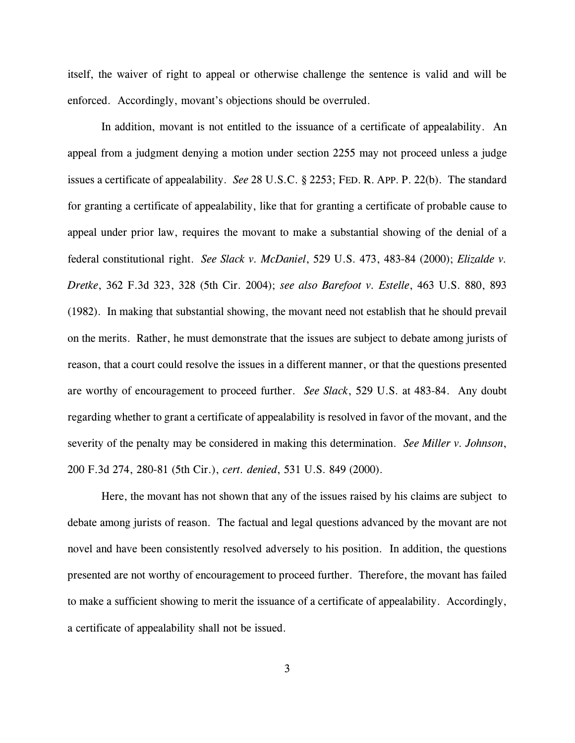itself, the waiver of right to appeal or otherwise challenge the sentence is valid and will be enforced. Accordingly, movant's objections should be overruled.

In addition, movant is not entitled to the issuance of a certificate of appealability. An appeal from a judgment denying a motion under section 2255 may not proceed unless a judge issues a certificate of appealability. *See* 28 U.S.C. § 2253; FED. R. APP. P. 22(b). The standard for granting a certificate of appealability, like that for granting a certificate of probable cause to appeal under prior law, requires the movant to make a substantial showing of the denial of a federal constitutional right. *See Slack v. McDaniel*, 529 U.S. 473, 483-84 (2000); *Elizalde v. Dretke*, 362 F.3d 323, 328 (5th Cir. 2004); *see also Barefoot v. Estelle*, 463 U.S. 880, 893 (1982). In making that substantial showing, the movant need not establish that he should prevail on the merits. Rather, he must demonstrate that the issues are subject to debate among jurists of reason, that a court could resolve the issues in a different manner, or that the questions presented are worthy of encouragement to proceed further. *See Slack*, 529 U.S. at 483-84. Any doubt regarding whether to grant a certificate of appealability is resolved in favor of the movant, and the severity of the penalty may be considered in making this determination. *See Miller v. Johnson*, 200 F.3d 274, 280-81 (5th Cir.), *cert. denied*, 531 U.S. 849 (2000).

Here, the movant has not shown that any of the issues raised by his claims are subject to debate among jurists of reason. The factual and legal questions advanced by the movant are not novel and have been consistently resolved adversely to his position. In addition, the questions presented are not worthy of encouragement to proceed further. Therefore, the movant has failed to make a sufficient showing to merit the issuance of a certificate of appealability. Accordingly, a certificate of appealability shall not be issued.